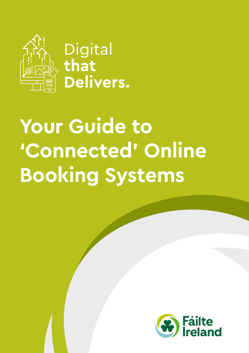

Digital<br>that **Delivers.** 

# **Your Guide to 'Connected' Online Booking Systems**

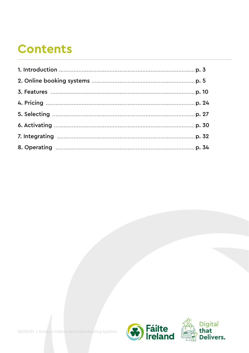## **Contents**

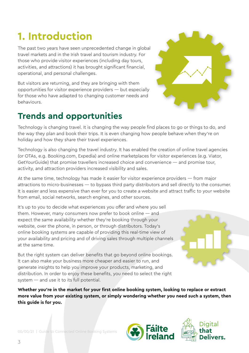## <span id="page-2-0"></span>**1. Introduction**

The past two years have seen unprecedented change in global travel markets and in the Irish travel and tourism industry. For those who provide visitor experiences (including day tours, activities, and attractions) it has brought significant financial, operational, and personal challenges.

But visitors are returning, and they are bringing with them opportunities for visitor experience providers — but especially for those who have adapted to changing customer needs and behaviours.

## **Trends and opportunities**

Technology is changing travel. It is changing the way people find places to go or things to do, and the way they plan and book their trips. It is even changing how people behave when they're on holiday and how they share their travel experiences.

Technology is also changing the travel industry. It has enabled the creation of online travel agencies (or OTAs, e.g. Booking.com, Expedia) and online marketplaces for visitor experiences (e.g. Viator, GetYourGuide) that promise travellers increased choice and convenience — and promise tour, activity, and attraction providers increased visibility and sales.

At the same time, technology has made it easier for visitor experience providers — from major attractions to micro-businesses — to bypass third party distributors and sell directly to the consumer. It is easier and less expensive than ever for you to create a website and attract traffic to your website from email, social networks, search engines, and other sources.

It's up to you to decide what experiences you offer and where you sell them. However, many consumers now prefer to book online — and expect the same availability whether they're booking through your website, over the phone, in person, or through distributors. Today's online booking systems are capable of providing this real-time view of your availability and pricing and of driving sales through multiple channels at the same time.

But the right system can deliver benefits that go beyond online bookings. It can also make your business more cheaper and easier to run, and generate insights to help you improve your products, marketing, and distribution. In order to enjoy these benefits, you need to select the right system — and use it to its full potential.

**Whether you're in the market for your first online booking system, looking to replace or extract more value from your existing system, or simply wondering whether you need such a system, then this guide is for you.**





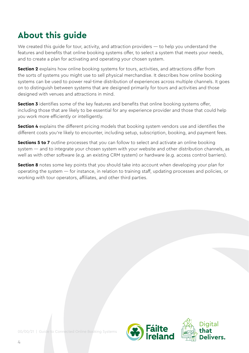## **About this guide**

We created this guide for tour, activity, and attraction providers — to help you understand the features and benefits that online booking systems offer, to select a system that meets your needs, and to create a plan for activating and operating your chosen system.

**Section 2** explains how online booking systems for tours, activities, and attractions differ from the sorts of systems you might use to sell physical merchandise. It describes how online booking systems can be used to power real-time distribution of experiences across multiple channels. It goes on to distinguish between systems that are designed primarily for tours and activities and those designed with venues and attractions in mind.

**Section 3** identifies some of the key features and benefits that online booking systems offer, including those that are likely to be essential for any experience provider and those that could help you work more efficiently or intelligently.

**Section 4** explains the different pricing models that booking system vendors use and identifies the different costs you're likely to encounter, including setup, subscription, booking, and payment fees.

**Sections 5 to 7** outline processes that you can follow to select and activate an online booking system — and to integrate your chosen system with your website and other distribution channels, as well as with other software (e.g. an existing CRM system) or hardware (e.g. access control barriers).

**Section 8** notes some key points that you should take into account when developing your plan for operating the system — for instance, in relation to training staff, updating processes and policies, or working with tour operators, affiliates, and other third parties.

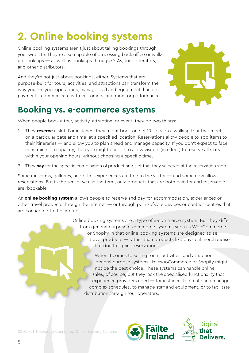## <span id="page-4-0"></span>**2. Online booking systems**

Online booking systems aren't just about taking bookings through your website. They're also capable of processing back office or walkup bookings — as well as bookings through OTAs, tour operators, and other distributors.

And they're not just about bookings, either. Systems that are purpose-built for tours, activities, and attractions can transform the way you run your operations, manage staff and equipment, handle payments, communicate with customers, and monitor performance.

### **Booking vs. e-commerce systems**



When people book a tour, activity, attraction, or event, they do two things:

- 1. They **reserve** a slot. For instance, they might book one of 10 slots on a walking tour that meets on a particular date and time, at a specified location. Reservations allow people to add items to their itineraries — and allow you to plan ahead and manage capacity. If you don't expect to face constraints on capacity, then you might choose to allow visitors (in effect) to reserve all slots within your opening hours, without choosing a specific time.
- 2. They **pay** for the specific combination of product and slot that they selected at the reservation step.

Some museums, galleries, and other experiences are free to the visitor — and some now allow reservations. But in the sense we use the term, only products that are both paid for and reservable are 'bookable'.

An **online booking system** allows people to reserve and pay for accommodation, experiences or other travel products through the internet — or through point-of-sale devices or contact centres that are connected to the internet.

> Online booking systems are a type of e-commerce system. But they differ from general purpose e-commerce systems such as WooCommerce or Shopify in that online booking systems are designed to sell travel products — rather than products like physical merchandise that don't require reservations.

When it comes to selling tours, activities, and attractions, general purpose systems like WooCommerce or Shopify might not be the best choice. These systems can handle online sales, of course, but they lack the specialised functionality that experience providers need — for instance, to create and manage complex schedules, to manage staff and equipment, or to facilitate distribution through tour operators.

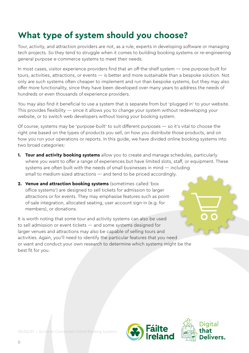### **What type of system should you choose?**

Tour, activity, and attraction providers are not, as a rule, experts in developing software or managing tech projects. So they tend to struggle when it comes to building booking systems or re-engineering general purpose e-commerce systems to meet their needs.

In most cases, visitor experience providers find that an off-the-shelf system — one purpose-built for tours, activities, attractions, or events — is better and more sustainable than a bespoke solution. Not only are such systems often cheaper to implement and run than bespoke systems, but they may also offer more functionality, since they have been developed over many years to address the needs of hundreds or even thousands of experience providers.

You may also find it beneficial to use a system that is separate from but 'plugged in' to your website. This provides flexibility — since it allows you to change your system without redeveloping your website, or to switch web developers without losing your booking system.

Of course, systems may be 'purpose-built' to suit different purposes — so it's vital to choose the right one based on the types of products you sell, on how you distribute those products, and on how you run your operations or reports. In this guide, we have divided online booking systems into two broad categories:

- **1. Tour and activity booking systems** allow you to create and manage schedules, particularly where you want to offer a range of experiences but have limited slots, staff, or equipment. These systems are often built with the needs of small businesses in mind — including small to medium-sized attractions — and tend to be priced accordingly.
- **2. Venue and attraction booking systems** (sometimes called 'box office systems') are designed to sell tickets for admission to larger attractions or for events. They may emphasise features such as pointof-sale integration, allocated seating, user account sign-in (e.g. for members), or donations.

It is worth noting that some tour and activity systems can also be used to sell admission or event tickets — and some systems designed for larger venues and attractions may also be capable of selling tours and activities. Again, you'll need to identify the particular features that you need or want and conduct your own research to determine which systems might be the best fit for you.

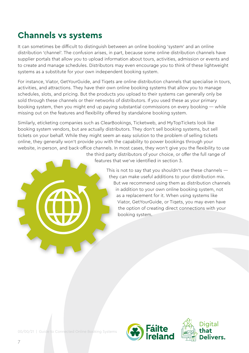### **Channels vs systems**

It can sometimes be difficult to distinguish between an online booking 'system' and an online distribution 'channel'. The confusion arises, in part, because some online distribution channels have supplier portals that allow you to upload information about tours, activities, admission or events and to create and manage schedules. Distributors may even encourage you to think of these lightweight systems as a substitute for your own independent booking system.

For instance, Viator, GetYourGuide, and Tiqets are online distribution channels that specialise in tours, activities, and attractions. They have their own online booking systems that allow you to manage schedules, slots, and pricing. But the products you upload to their systems can generally only be sold through these channels or their networks of distributors. If you used these as your primary booking system, then you might end up paying substantial commissions on every booking — while missing out on the features and flexibility offered by standalone booking system.

Similarly, eticketing companies such as ClearBookings, Ticketweb, and MyTopTickets look like booking system vendors, but are actually distributors. They don't sell booking systems, but sell tickets on your behalf. While they might seem an easy solution to the problem of selling tickets online, they generally won't provide you with the capability to power bookings through your website, in-person, and back-office channels. In most cases, they won't give you the flexibility to use the third party distributors of your choice, or offer the full range of

features that we've identified in section 3.

This is not to say that you shouldn't use these channels  $$ they can make useful additions to your distribution mix. But we recommend using them as distribution channels in addition to your own online booking system, not as a replacement for it. When using systems like Viator, GetYourGuide, or Tiqets, you may even have the option of creating direct connections with your booking system.

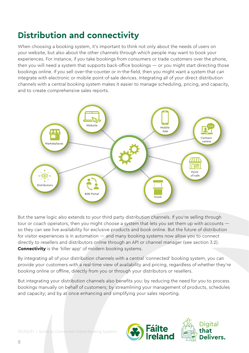### **Distribution and connectivity**

When choosing a booking system, it's important to think not only about the needs of users on your website, but also about the other channels through which people may want to book your experiences. For instance, if you take bookings from consumers or trade customers over the phone, then you will need a system that supports back-office bookings — or you might start directing those bookings online. If you sell over-the-counter or in-the-field, then you might want a system that can integrate with electronic or mobile point-of-sale devices. Integrating all of your direct distribution channels with a central booking system makes it easier to manage scheduling, pricing, and capacity, and to create comprehensive sales reports.



But the same logic also extends to your third party distribution channels. If you're selling through tour or coach operators, then you might choose a system that lets you set them up with accounts so they can see live availability for exclusive products and book online. But the future of distribution for visitor experiences is in automation — and many booking systems now allow you to connect directly to resellers and distributors online through an API or channel manager (see section 3.2). **Connectivity** is the 'killer app' of modern booking systems.

By integrating all of your distribution channels with a central 'connected' booking system, you can provide your customers with a real-time view of availability and pricing, regardless of whether they're booking online or offline, directly from you or through your distributors or resellers.

But integrating your distribution channels also benefits you: by reducing the need for you to process bookings manually on behalf of customers; by streamlining your management of products, schedules and capacity; and by at once enhancing and simplifying your sales reporting.

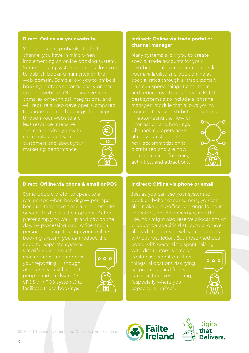#### **Direct: Online via your website**

Your website is probably the first channel you have in mind when to publish booking mini-sites on their web domain. Some allow you to embed booking buttons or forms easily on your existing website. Others involve more complex or technical integrations, and will require a web developer. Compared

through your website are less resource-intensive and can provide you with more data about your customers and about your marketing performance.



#### **Direct: Offline via phone & email or POS**

Some people prefer to speak to a or want to discuss their options. Others prefer simply to walk up and pay on the person bookings through your 'online'

simplify your product your reporting — though, of course, you still need the ePOS / mPOS systems) to facilitate those bookings.



#### **Indirect: Online via trade portal or channel manager**

Many systems allow you to create distributors, allowing them to check your availability and book online at special rates through a 'trade portal'. This can speed things up for them and reduce overheads for you. But the best systems also include a 'channel manager' module that allows you to

— automating the flow of information and bookings. Channel managers have already transformed how accommodation is distributed and are now doing the same for tours,



#### **Indirect: Offline via phone or email**

book on behalf of consumers, you can also make back-office bookings for tour operators, hotel concierges, and the like. You might also reserve allocations of allow distributors to sell your products without restriction. But these methods

with distributors is time you up products; and free sale can result in over-booking (especially where your



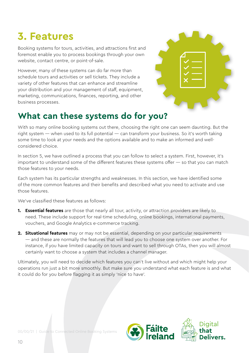## <span id="page-9-0"></span>**3. Features**

Booking systems for tours, activities, and attractions first and foremost enable you to process bookings through your own website, contact centre, or point-of-sale.

However, many of these systems can do far more than schedule tours and activities or sell tickets. They include a variety of other features that can enhance and streamline your distribution and your management of staff, equipment, marketing, communications, finances, reporting, and other business processes.



## **What can these systems do for you?**

With so many online booking systems out there, choosing the right one can seem daunting. But the right system — when used to its full potential — can transform your business. So it's worth taking some time to look at your needs and the options available and to make an informed and wellconsidered choice.

In section 5, we have outlined a process that you can follow to select a system. First, however, it's important to understand some of the different features these systems offer — so that you can match those features to your needs.

Each system has its particular strengths and weaknesses. In this section, we have identified some of the more common features and their benefits and described what you need to activate and use those features.

We've classified these features as follows:

- **1. Essential features** are those that nearly all tour, activity, or attraction providers are likely to need. These include support for real-time scheduling, online bookings, international payments, vouchers, and Google Analytics e-commerce tracking.
- **2. Situational features** may or may not be essential, depending on your particular requirements — and these are normally the features that will lead you to choose one system over another. For instance, if you have limited capacity on tours and want to sell through OTAs, then you will almost certainly want to choose a system that includes a channel manager.

Ultimately, you will need to decide which features you can't live without and which might help your operations run just a bit more smoothly. But make sure you understand what each feature is and what it could do for you before flagging it as simply 'nice to have'.

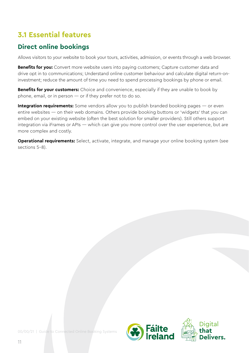### **3.1 Essential features**

#### **Direct online bookings**

Allows visitors to your website to book your tours, activities, admission, or events through a web browser.

**Benefits for you:** Convert more website users into paying customers; Capture customer data and drive opt in to communications; Understand online customer behaviour and calculate digital return-oninvestment; reduce the amount of time you need to spend processing bookings by phone or email.

**Benefits for your customers:** Choice and convenience, especially if they are unable to book by phone, email, or in person — or if they prefer not to do so.

**Integration requirements:** Some vendors allow you to publish branded booking pages — or even entire websites — on their web domains. Others provide booking buttons or 'widgets' that you can embed on your existing website (often the best solution for smaller providers). Still others support integration via iFrames or APIs — which can give you more control over the user experience, but are more complex and costly.

**Operational requirements:** Select, activate, integrate, and manage your online booking system (see sections 5-8).

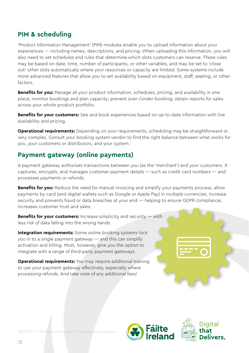#### **PIM & scheduling**

'Product Information Management' (PIM) modules enable you to upload information about your experiences — including names, descriptions, and pricing. When uploading this information, you will also need to set schedules and rules that determine which slots customers can reserve. These rules may be based on date, time, number of participants, or other variables, and may be set to 'close out' other slots automatically where your resources or capacity are limited. Some systems include more advanced features that allow you to set availability based on equipment, staff, seating, or other factors.

**Benefits for you:** Manage all your product information, schedules, pricing, and availability in one place; monitor bookings and plan capacity; prevent over-/under-booking; obtain reports for sales across your whole product portfolio.

**Benefits for your customers:** See and book experiences based on up-to-date information with live availability and pricing.

**Operational requirements:** Depending on your requirements, scheduling may be straightforward or very complex. Consult your booking system vendor to find the right balance between what works for you, your customers or distributors, and your system.

#### **Payment gateway (online payments)**

A payment gateway authorises transactions between you (as the 'merchant') and your customers. It captures, encrypts, and manages customer payment details — such as credit card numbers — and processes payments or refunds.

**Benefits for you:** Reduce the need for manual invoicing and simplify your payments process; allow payments by card (and digital wallets such as Google or Apple Pay) in multiple currencies; increase security and prevents fraud or data breaches at your end — helping to ensure GDPR compliance; increases customer trust and sales.

**Benefits for your customers:** Increase simplicity and security — with less risk of data falling into the wrong hands.

**Integration requirements:** Some online booking systems lock you in to a single payment gateway — and this can simplify activation and billing. Most, however, give you the option to integrate with a range of third-party payment gateways.

**Operational requirements:** You may require additional training to use your payment gateway effectively, especially where processing refunds. And take note of any additional fees!



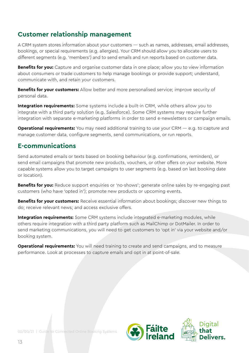#### **Customer relationship management**

A CRM system stores information about your customers — such as names, addresses, email addresses, bookings, or special requirements (e.g. allergies). Your CRM should allow you to allocate users to different segments (e.g. 'members') and to send emails and run reports based on customer data.

**Benefits for you:** Capture and organise customer data in one place; allow you to view information about consumers or trade customers to help manage bookings or provide support; understand, communicate with, and retain your customers.

**Benefits for your customers:** Allow better and more personalised service; improve security of personal data.

**Integration requirements:** Some systems include a built-in CRM, while others allow you to integrate with a third party solution (e.g. Salesforce). Some CRM systems may require further integration with separate e-marketing platforms in order to send e-newsletters or campaign emails.

**Operational requirements:** You may need additional training to use your CRM — e.g. to capture and manage customer data, configure segments, send communications, or run reports.

#### **E-communications**

Send automated emails or texts based on booking behaviour (e.g. confirmations, reminders), or send email campaigns that promote new products, vouchers, or other offers on your website. More capable systems allow you to target campaigns to user segments (e.g. based on last booking date or location).

**Benefits for you:** Reduce support enquiries or 'no-shows'; generate online sales by re-engaging past customers (who have 'opted in'); promote new products or upcoming events.

**Benefits for your customers:** Receive essential information about bookings; discover new things to do; receive relevant news; and access exclusive offers.

**Integration requirements:** Some CRM systems include integrated e-marketing modules, while others require integration with a third party platform such as MailChimp or DotMailer. In order to send marketing communications, you will need to get customers to 'opt in' via your website and/or booking system.

**Operational requirements:** You will need training to create and send campaigns, and to measure performance. Look at processes to capture emails and opt in at point-of-sale.

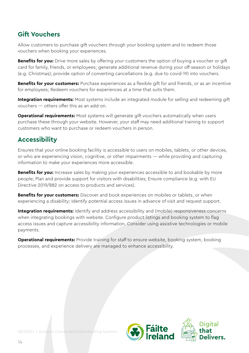#### **Gift Vouchers**

Allow customers to purchase gift vouchers through your booking system and to redeem those vouchers when booking your experiences.

**Benefits for you:** Drive more sales by offering your customers the option of buying a voucher or gift card for family, friends, or employees; generate additional revenue during your off-season or holidays (e.g. Christmas); provide option of converting cancellations (e.g. due to covid-19) into vouchers.

**Benefits for your customers:** Purchase experiences as a flexible gift for and friends, or as an incentive for employees; Redeem vouchers for experiences at a time that suits them.

**Integration requirements:** Most systems include an integrated module for selling and redeeming gift vouchers — others offer this as an add-on.

**Operational requirements:** Most systems will generate gift vouchers automatically when users purchase these through your website. However, your staff may need additional training to support customers who want to purchase or redeem vouchers in person.

#### **Accessibility**

Ensures that your online booking facility is accessible to users on mobiles, tablets, or other devices, or who are experiencing vision, cognitive, or other impairments — while providing and capturing information to make your experiences more accessible.

**Benefits for you:** Increase sales by making your experiences accessible to and bookable by more people; Plan and provide support for visitors with disabilities; Ensure compliance (e.g. with EU Directive 2019/882 on access to products and services).

**Benefits for your customers:** Discover and book experiences on mobiles or tablets, or when experiencing a disability; Identify potential access issues in advance of visit and request support.

**Integration requirements:** Identify and address accessibility and (mobile) responsiveness concerns when integrating bookings with website. Configure product listings and booking system to flag access issues and capture accessibility information. Consider using assistive technologies or mobile payments.

**Operational requirements:** Provide training for staff to ensure website, booking system, booking processes, and experience delivery are managed to enhance accessibility.

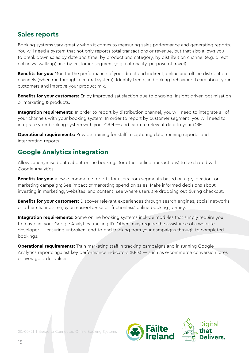#### **Sales reports**

Booking systems vary greatly when it comes to measuring sales performance and generating reports. You will need a system that not only reports total transactions or revenue, but that also allows you to break down sales by date and time, by product and category, by distribution channel (e.g. direct online vs. walk-up) and by customer segment (e.g. nationality, purpose of travel).

**Benefits for you:** Monitor the performance of your direct and indirect, online and offline distribution channels (when run through a central system); Identify trends in booking behaviour; Learn about your customers and improve your product mix.

**Benefits for your customers:** Enjoy improved satisfaction due to ongoing, insight-driven optimisation or marketing & products.

Integration requirements: In order to report by distribution channel, you will need to integrate all of your channels with your booking system; In order to report by customer segment, you will need to integrate your booking system with your CRM — and capture relevant data to your CRM.

**Operational requirements:** Provide training for staff in capturing data, running reports, and interpreting reports.

#### **Google Analytics integration**

Allows anonymised data about online bookings (or other online transactions) to be shared with Google Analytics.

**Benefits for you:** View e-commerce reports for users from segments based on age, location, or marketing campaign; See impact of marketing spend on sales; Make informed decisions about investing in marketing, websites, and content; see where users are dropping out during checkout.

**Benefits for your customers:** Discover relevant experiences through search engines, social networks, or other channels; enjoy an easier-to-use or 'frictionless' online booking journey.

**Integration requirements:** Some online booking systems include modules that simply require you to 'paste in' your Google Analytics tracking ID. Others may require the assistance of a website developer — ensuring unbroken, end-to-end tracking from your campaigns through to completed bookings.

**Operational requirements:** Train marketing staff in tracking campaigns and in running Google Analytics reports against key performance indicators (KPIs) — such as e-commerce conversion rates or average order values.

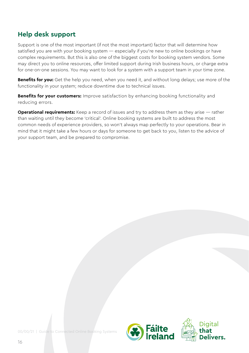#### **Help desk support**

Support is one of the most important (if not the most important) factor that will determine how satisfied you are with your booking system — especially if you're new to online bookings or have complex requirements. But this is also one of the biggest costs for booking system vendors. Some may direct you to online resources, offer limited support during Irish business hours, or charge extra for one-on-one sessions. You may want to look for a system with a support team in your time zone.

**Benefits for you:** Get the help you need, when you need it, and without long delays; use more of the functionality in your system; reduce downtime due to technical issues.

**Benefits for your customers:** Improve satisfaction by enhancing booking functionality and reducing errors.

**Operational requirements:** Keep a record of issues and try to address them as they arise — rather than waiting until they become 'critical'. Online booking systems are built to address the most common needs of experience providers, so won't always map perfectly to your operations. Bear in mind that it might take a few hours or days for someone to get back to you, listen to the advice of your support team, and be prepared to compromise.

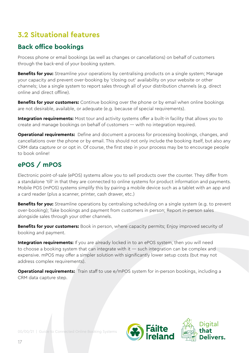### **3.2 Situational features**

#### **Back office bookings**

Process phone or email bookings (as well as changes or cancellations) on behalf of customers through the back-end of your booking system.

**Benefits for you:** Streamline your operations by centralising products on a single system; Manage your capacity and prevent over-booking by 'closing out' availability on your website or other channels; Use a single system to report sales through all of your distribution channels (e.g. direct online and direct offline).

**Benefits for your customers:** Continue booking over the phone or by email when online bookings are not desirable, available, or adequate (e.g. because of special requirements).

**Integration requirements:** Most tour and activity systems offer a built-in facility that allows you to create and manage bookings on behalf of customers — with no integration required.

**Operational requirements:** Define and document a process for processing bookings, changes, and cancellations over the phone or by email. This should not only include the booking itself, but also any CRM data capture or or opt in. Of course, the first step in your process may be to encourage people to book online!

#### **ePOS / mPOS**

Electronic point-of-sale (ePOS) systems allow you to sell products over the counter. They differ from a standalone 'till' in that they are connected to online systems for product information and payments. Mobile POS (mPOS) systems simplify this by pairing a mobile device such as a tablet with an app and a card reader (plus a scanner, printer, cash drawer, etc.)

**Benefits for you:** Streamline operations by centralising scheduling on a single system (e.g. to prevent over-booking); Take bookings and payment from customers in person; Report in-person sales alongside sales through your other channels.

**Benefits for your customers:** Book in person, where capacity permits; Enjoy improved security of booking and payment.

**Integration requirements:** If you are already locked in to an ePOS system, then you will need to choose a booking system that can integrate with it — such integration can be complex and expensive. mPOS may offer a simpler solution with significantly lower setup costs (but may not address complex requirements).

**Operational requirements:** Train staff to use e/mPOS system for in-person bookings, including a CRM data capture step.

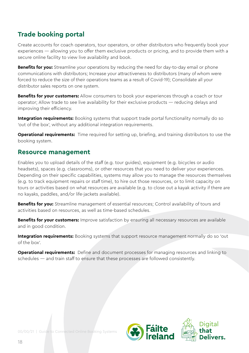#### **Trade booking portal**

Create accounts for coach operators, tour operators, or other distributors who frequently book your experiences — allowing you to offer them exclusive products or pricing, and to provide them with a secure online facility to view live availability and book.

**Benefits for you:** Streamline your operations by reducing the need for day-to-day email or phone communications with distributors; Increase your attractiveness to distributors (many of whom were forced to reduce the size of their operations teams as a result of Covid-19); Consolidate all your distributor sales reports on one system.

**Benefits for your customers:** Allow consumers to book your experiences through a coach or tour operator; Allow trade to see live availability for their exclusive products — reducing delays and improving their efficiency.

**Integration requirements:** Booking systems that support trade portal functionality normally do so 'out of the box', without any additional integration requirements.

**Operational requirements:** Time required for setting up, briefing, and training distributors to use the booking system.

#### **Resource management**

Enables you to upload details of the staff (e.g. tour guides), equipment (e.g. bicycles or audio headsets), spaces (e.g. classrooms), or other resources that you need to deliver your experiences. Depending on their specific capabilities, systems may allow you to manage the resources themselves (e.g. to track equipment repairs or staff time), to hire out those resources, or to limit capacity on tours or activities based on what resources are available (e.g. to close out a kayak activity if there are no kayaks, paddles, and/or life-jackets available).

**Benefits for you:** Streamline management of essential resources; Control availability of tours and activities based on resources, as well as time-based schedules.

**Benefits for your customers:** Improve satisfaction by ensuring all necessary resources are available and in good condition.

**Integration requirements:** Booking systems that support resource management normally do so 'out of the box'.

**Operational requirements:** Define and document processes for managing resources and linking to schedules — and train staff to ensure that these processes are followed consistently.

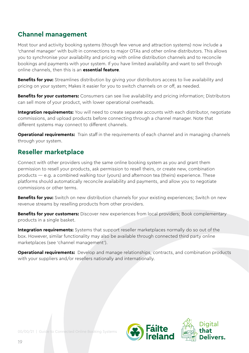#### **Channel management**

Most tour and activity booking systems (though few venue and attraction systems) now include a 'channel manager' with built-in connections to major OTAs and other online distributors. This allows you to synchronise your availability and pricing with online distribution channels and to reconcile bookings and payments with your system. If you have limited availability and want to sell through online channels, then this is an **essential feature**.

**Benefits for you:** Streamlines distribution by giving your distributors access to live availability and pricing on your system; Makes it easier for you to switch channels on or off, as needed.

**Benefits for your customers:** Consumers can see live availability and pricing information; Distributors can sell more of your product, with lower operational overheads.

**Integration requirements:** You will need to create separate accounts with each distributor, negotiate commissions, and upload products before connecting through a channel manager. Note that different systems may connect to different channels.

**Operational requirements:** Train staff in the requirements of each channel and in managing channels through your system.

#### **Reseller marketplace**

Connect with other providers using the same online booking system as you and grant them permission to resell your products, ask permission to resell theirs, or create new, combination products — e.g. a combined walking tour (yours) and afternoon tea (theirs) experience. These platforms should automatically reconcile availability and payments, and allow you to negotiate commissions or other terms.

**Benefits for you:** Switch on new distribution channels for your existing experiences; Switch on new revenue streams by reselling products from other providers.

**Benefits for your customers:** Discover new experiences from local providers; Book complementary products in a single basket.

**Integration requirements:** Systems that support reseller marketplaces normally do so out of the box. However, similar functionality may also be available through connected third party online marketplaces (see 'channel management').

**Operational requirements:** Develop and manage relationships, contracts, and combination products with your suppliers and/or resellers nationally and internationally.

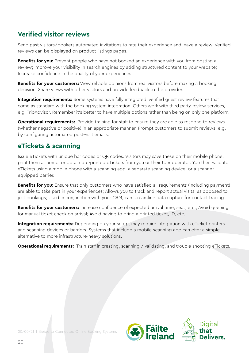#### **Verified visitor reviews**

Send past visitors/bookers automated invitations to rate their experience and leave a review. Verified reviews can be displayed on product listings pages.

**Benefits for you:** Prevent people who have not booked an experience with you from posting a review; Improve your visibility in search engines by adding structured content to your website; Increase confidence in the quality of your experiences.

**Benefits for your customers:** View reliable opinions from real visitors before making a booking decision; Share views with other visitors and provide feedback to the provider.

**Integration requirements:** Some systems have fully integrated, verified quest review features that come as standard with the booking system integration. Others work with third party review services, e.g. TripAdvisor. Remember it's better to have multiple options rather than being on only one platform.

**Operational requirements:** Provide training for staff to ensure they are able to respond to reviews (whether negative or positive) in an appropriate manner. Prompt customers to submit reviews, e.g. by configuring automated post-visit emails.

#### **eTickets & scanning**

Issue eTickets with unique bar codes or QR codes. Visitors may save these on their mobile phone, print them at home, or obtain pre-printed eTickets from you or their tour operator. You then validate eTickets using a mobile phone with a scanning app, a separate scanning device, or a scannerequipped barrier.

**Benefits for you:** Ensure that only customers who have satisfied all requirements (including payment) are able to take part in your experiences; Allows you to track and report actual visits, as opposed to just bookings; Used in conjunction with your CRM, can streamline data capture for contact tracing.

**Benefits for your customers:** Increase confidence of expected arrival time, seat, etc.; Avoid queuing for manual ticket check on arrival; Avoid having to bring a printed ticket, ID, etc.

**Integration requirements:** Depending on your setup, may require integration with eTicket printers and scanning devices or barriers. Systems that include a mobile scanning app can offer a simple alternative to more infrastructure-heavy solutions.

**Operational requirements:** Train staff in creating, scanning / validating, and trouble-shooting eTickets.

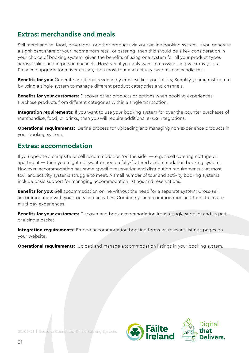#### **Extras: merchandise and meals**

Sell merchandise, food, beverages, or other products via your online booking system. If you generate a significant share of your income from retail or catering, then this should be a key consideration in your choice of booking system, given the benefits of using one system for all your product types across online and in-person channels. However, if you only want to cross-sell a few extras (e.g. a Prosecco upgrade for a river cruise), then most tour and activity systems can handle this.

**Benefits for you:** Generate additional revenue by cross-selling your offers; Simplify your infrastructure by using a single system to manage different product categories and channels.

**Benefits for your customers:** Discover other products or options when booking experiences; Purchase products from different categories within a single transaction.

Integration requirements: If you want to use your booking system for over-the-counter purchases of merchandise, food, or drinks, then you will require additional ePOS integrations.

**Operational requirements:** Define process for uploading and managing non-experience products in your booking system.

#### **Extras: accommodation**

If you operate a campsite or sell accommodation 'on the side'  $-$  e.g. a self catering cottage or apartment — then you might not want or need a fully-featured accommodation booking system. However, accommodation has some specific reservation and distribution requirements that most tour and activity systems struggle to meet. A small number of tour and activity booking systems include basic support for managing accommodation listings and reservations.

**Benefits for you:** Sell accommodation online without the need for a separate system; Cross-sell accommodation with your tours and activities; Combine your accommodation and tours to create multi-day experiences.

**Benefits for your customers:** Discover and book accommodation from a single supplier and as part of a single basket.

**Integration requirements:** Embed accommodation booking forms on relevant listings pages on your website.

**Operational requirements:** Upload and manage accommodation listings in your booking system.

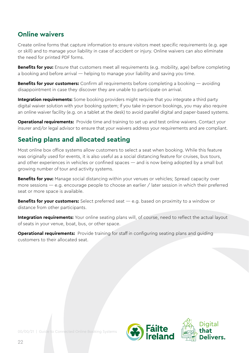#### **Online waivers**

Create online forms that capture information to ensure visitors meet specific requirements (e.g. age or skill) and to manage your liability in case of accident or injury. Online waivers can also eliminate the need for printed PDF forms.

**Benefits for you:** Ensure that customers meet all requirements (e.g. mobility, age) before completing a booking and before arrival — helping to manage your liability and saving you time.

**Benefits for your customers:** Confirm all requirements before completing a booking — avoiding disappointment in case they discover they are unable to participate on arrival.

**Integration requirements:** Some booking providers might require that you integrate a third party digital waiver solution with your booking system; If you take in-person bookings, you may also require an online waiver facility (e.g. on a tablet at the desk) to avoid parallel digital and paper-based systems.

**Operational requirements:** Provide time and training to set up and test online waivers. Contact your insurer and/or legal advisor to ensure that your waivers address your requirements and are compliant.

#### **Seating plans and allocated seating**

Most online box office systems allow customers to select a seat when booking. While this feature was originally used for events, it is also useful as a social distancing feature for cruises, bus tours, and other experiences in vehicles or confined spaces — and is now being adopted by a small but growing number of tour and activity systems.

**Benefits for you:** Manage social distancing within your venues or vehicles; Spread capacity over more sessions — e.g. encourage people to choose an earlier / later session in which their preferred seat or more space is available.

**Benefits for your customers:** Select preferred seat — e.g. based on proximity to a window or distance from other participants.

**Integration requirements:** Your online seating plans will, of course, need to reflect the actual layout of seats in your venue, boat, bus, or other space.

**Operational requirements:** Provide training for staff in configuring seating plans and guiding customers to their allocated seat.

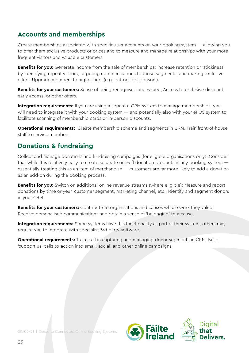#### **Accounts and memberships**

Create memberships associated with specific user accounts on your booking system — allowing you to offer them exclusive products or prices and to measure and manage relationships with your more frequent visitors and valuable customers.

**Benefits for you:** Generate income from the sale of memberships; Increase retention or 'stickiness' by identifying repeat visitors, targeting communications to those segments, and making exclusive offers; Upgrade members to higher tiers (e.g. patrons or sponsors).

**Benefits for your customers:** Sense of being recognised and valued; Access to exclusive discounts, early access, or other offers.

**Integration requirements:** If you are using a separate CRM system to manage memberships, you will need to integrate it with your booking system — and potentially also with your ePOS system to facilitate scanning of membership cards or in-person discounts.

**Operational requirements:** Create membership scheme and segments in CRM. Train front-of-house staff to service members.

#### **Donations & fundraising**

Collect and manage donations and fundraising campaigns (for eligible organisations only). Consider that while it is relatively easy to create separate one-off donation products in any booking system essentially treating this as an item of merchandise — customers are far more likely to add a donation as an add-on during the booking process.

**Benefits for you:** Switch on additional online revenue streams (where eligible); Measure and report donations by time or year, customer segment, marketing channel, etc.; Identify and segment donors in your CRM.

**Benefits for your customers:** Contribute to organisations and causes whose work they value; Receive personalised communications and obtain a sense of 'belonging' to a cause.

**Integration requirements:** Some systems have this functionality as part of their system, others may require you to integrate with specialist 3rd party software.

**Operational requirements:** Train staff in capturing and managing donor segments in CRM. Build 'support us' calls-to-action into email, social, and other online campaigns.

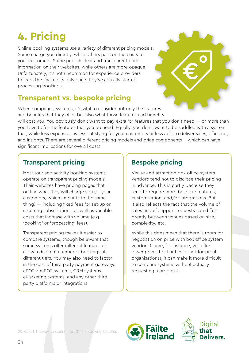## <span id="page-23-0"></span>**4. Pricing**

Online booking systems use a variety of different pricing models. Some charge you directly, while others pass on the costs to your customers. Some publish clear and transparent price information on their websites, while others are more opaque. Unfortunately, it's not uncommon for experience providers to learn the final costs only once they've actually started processing bookings.

### **Transparent vs. bespoke pricing**

When comparing systems, it's vital to consider not only the features and benefits that they offer, but also what those features and benefits

will cost you. You obviously don't want to pay extra for features that you don't need — or more than you have to for the features that you do need. Equally, you don't want to be saddled with a system that, while less expensive, is less satisfying for your customers or less able to deliver sales, efficiency, and insights. There are several different pricing models and price components— which can have significant implications for overall costs.

#### **Transparent pricing**

Most tour and activity booking systems operate on transparent pricing models. Their websites have pricing pages that outline what they will charge you (or your customers, which amounts to the same thing) — including fixed fees for set-up or recurring subscriptions, as well as variable costs that increase with volume (e.g. 'booking' or 'processing' fees).

Transparent pricing makes it easier to compare systems, though be aware that some systems offer different features or allow a different number of bookings at different tiers. You may also need to factor in the cost of third party payment gateways, ePOS / mPOS systems, CRM systems, eMarketing systems, and any other third party platforms or integrations.

#### **Bespoke pricing**

Venue and attraction box office system vendors tend not to disclose their pricing in advance. This is partly because they tend to require more bespoke features, customisation, and/or integrations. But it also reflects the fact that the volume of sales and of support requests can differ greatly between venues based on size, complexity, etc.

While this does mean that there is room for negotiation on price with box office system vendors (some, for instance, will offer lower prices to charities or not-for-profit organisations), it can make it more difficult to compare systems without actually requesting a proposal.

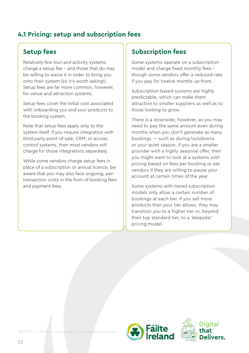#### **4.1 Pricing: setup and subscription fees**

#### **Setup fees**

Relatively few tour and activity systems charge a setup fee - and those that do may be willing to waive it in order to bring you onto their system (so it's worth asking!). Setup fees are far more common, however, for venue and attraction systems.

Setup fees cover the initial cost associated with onboarding you and your products to the booking system.

Note that setup fees apply only to the system itself. If you require integration with third party point-of-sale, CRM, or access control systems, then most vendors will charge for those integrations separately.

While some vendors charge setup fees in place of a subscription or annual licence, be aware that you may also face ongoing, pertransaction costs in the form of booking fees and payment fees.

#### **Subscription fees**

Some systems operate on a subscription model and charge fixed monthly fees though some vendors offer a reduced rate if you pay for twelve months up-front.

Subscription-based systems are highly predictable, which can make them attractive to smaller suppliers as well as to those looking to grow.

There is a downside, however, as you may need to pay the same amount even during months when you don't generate as many bookings — such as during lockdowns or your quiet season. If you are a smaller provider with a highly seasonal offer, then you might want to look at a systems with pricing based on fees per booking or ask vendors if they are willing to pause your account at certain times of the year.

Some systems with tiered subscription models only allow a certain number of bookings at each tier. If you sell more products than your tier allows, they may transition you to a higher tier or, beyond their top standard tier, to a 'bespoke' pricing model.

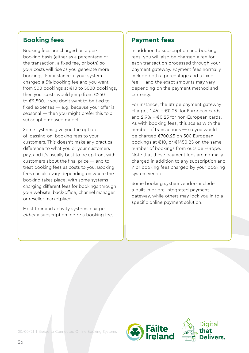#### **Booking fees**

Booking fees are charged on a perbooking basis (either as a percentage of the transaction, a fixed fee, or both) so your costs will rise as you generate more bookings. For instance, if your system charged a 5% booking fee and you went from 500 bookings at €10 to 5000 bookings, then your costs would jump from €250 to €2,500. If you don't want to be tied to fixed expenses — e.g. because your offer is seasonal — then you might prefer this to a subscription-based model.

Some systems give you the option of 'passing on' booking fees to your customers. This doesn't make any practical difference to what you or your customers pay, and it's usually best to be up-front with customers about the final price — and to treat booking fees as costs to you. Booking fees can also vary depending on where the booking takes place, with some systems charging different fees for bookings through your website, back-office, channel manager, or reseller marketplace.

Most tour and activity systems charge either a subscription fee or a booking fee.

#### **Payment fees**

In addition to subscription and booking fees, you will also be charged a fee for each transaction processed through your payment gateway. Payment fees normally include both a percentage and a fixed fee — and the exact amounts may vary depending on the payment method and currency.

For instance, the Stripe payment gateway charges  $1.4\% + \text{\textsterling}0.25$  for European cards and  $2.9\% + \text{\textsterling}0.25$  for non-European cards. As with booking fees, this scales with the number of transactions — so you would be charged €700.25 on 500 European bookings at €10, or €1450.25 on the same number of bookings from outside Europe. Note that these payment fees are normally charged in addition to any subscription and / or booking fees charged by your booking system vendor.

Some booking system vendors include a built-in or pre-integrated payment gateway, while others may lock you in to a specific online payment solution.

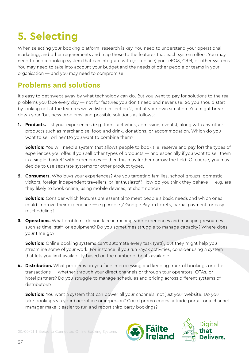## <span id="page-26-0"></span>**5. Selecting**

When selecting your booking platform, research is key. You need to understand your operational, marketing, and other requirements and map these to the features that each system offers. You may need to find a booking system that can integrate with (or replace) your ePOS, CRM, or other systems. You may need to take into account your budget and the needs of other people or teams in your organisation — and you may need to compromise.

#### **Problems and solutions**

It's easy to get swept away by what technology can do. But you want to pay for solutions to the real problems you face every day — not for features you don't need and never use. So you should start by looking not at the features we've listed in section 2, but at your own situation. You might break down your 'business problems' and possible solutions as follows:

**1. Products.** List your experiences (e.g. tours, activities, admission, events), along with any other products such as merchandise, food and drink, donations, or accommodation. Which do you want to sell online? Do you want to combine them?

**Solution:** You will need a system that allows people to book (i.e. reserve and pay for) the types of experiences you offer. If you sell other types of products — and especially if you want to sell them in a single 'basket' with experiences — then this may further narrow the field. Of course, you may decide to use separate systems for other product types.

**2. Consumers.** Who buys your experiences? Are you targeting families, school groups, domestic visitors, foreign independent travellers, or 'enthusiasts'? How do you think they behave — e.g. are they likely to book online, using mobile devices, at short notice?

**Solution:** Consider which features are essential to meet people's basic needs and which ones could improve their experience  $-$  e.g. Apple / Google Pay, mTickets, partial payment, or easy rescheduling?

**3. Operations.** What problems do you face in running your experiences and managing resources such as time, staff, or equipment? Do you sometimes struggle to manage capacity? Where does your time go?

**Solution:** Online booking systems can't automate every task (yet!), but they might help you streamline some of your work. For instance, if you run kayak activities, consider using a system that lets you limit availability based on the number of boats available.

**4. Distribution.** What problems do you face in processing and keeping track of bookings or other transactions — whether through your direct channels or through tour operators, OTAs, or hotel partners? Do you struggle to manage schedules and pricing across different systems of distributors?

**Solution:** You want a system that can power all your channels, not just your website. Do you take bookings via your back-office or in-person? Could promo codes, a trade portal, or a channel manager make it easier to run and report third party bookings?

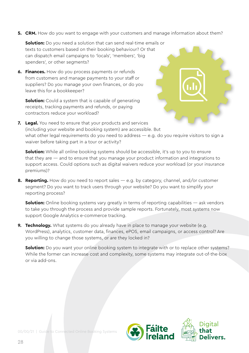**5. CRM.** How do you want to engage with your customers and manage information about them?

**Solution:** Do you need a solution that can send real-time emails or texts to customers based on their booking behaviour? Or that can dispatch email campaigns to 'locals', 'members', 'big spenders', or other segments?

**6. Finances.** How do you process payments or refunds from customers and manage payments to your staff or suppliers? Do you manage your own finances, or do you leave this for a bookkeeper?

**Solution:** Could a system that is capable of generating receipts, tracking payments and refunds, or paying contractors reduce your workload?



**Solution:** While all online booking systems should be accessible, it's up to you to ensure that they are — and to ensure that you manage your product information and integrations to support access. Could options such as digital waivers reduce your workload (or your insurance premiums)?

**8. Reporting.** How do you need to report sales — e.g. by category, channel, and/or customer segment? Do you want to track users through your website? Do you want to simplify your reporting process?

**Solution:** Online booking systems vary greatly in terms of reporting capabilities — ask vendors to take you through the process and provide sample reports. Fortunately, most systems now support Google Analytics e-commerce tracking.

**9. Technology.** What systems do you already have in place to manage your website (e.g. WordPress), analytics, customer data, finances, ePOS, email campaigns, or access control? Are you willing to change those systems, or are they locked in?

**Solution:** Do you want your online booking system to integrate with or to replace other systems? While the former can increase cost and complexity, some systems may integrate out-of-the-box or via add-ons.

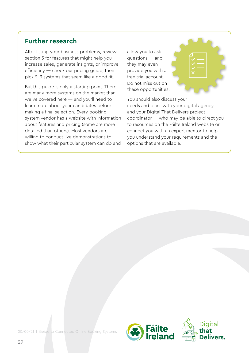#### **Further research**

After listing your business problems, review section 3 for features that might help you increase sales, generate insights, or improve efficiency — check our pricing quide, then pick 2-3 systems that seem like a good fit.

But this guide is only a starting point. There are many more systems on the market than we've covered here — and you'll need to learn more about your candidates before making a final selection. Every booking system vendor has a website with information about features and pricing (some are more detailed than others). Most vendors are willing to conduct live demonstrations to show what their particular system can do and

allow you to ask questions — and they may even provide you with a free trial account. Do not miss out on these opportunities.



You should also discuss your needs and plans with your digital agency and your Digital That Delivers project coordinator — who may be able to direct you to resources on the Fáilte Ireland website or connect you with an expert mentor to help you understand your requirements and the options that are available.

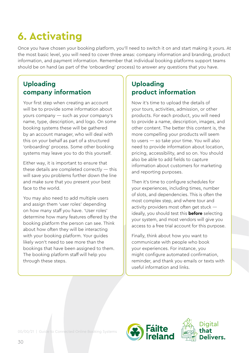## <span id="page-29-0"></span>**6. Activating**

Once you have chosen your booking platform, you'll need to switch it on and start making it yours. At the most basic level, you will need to cover three areas: company information and branding, product information, and payment information. Remember that individual booking platforms support teams should be on hand (as part of the 'onboarding' process) to answer any questions that you have.

#### **Uploading company information**

Your first step when creating an account will be to provide some information about yours company — such as your company's name, type, description, and logo. On some booking systems these will be gathered by an account manager, who will deal with this on your behalf as part of a structured 'onboarding' process. Some other booking systems may leave you to do this yourself.

Either way, it is important to ensure that these details are completed correctly — this will save you problems further down the line and make sure that you present your best face to the world.

You may also need to add multiple users and assign them 'user roles' depending on how many staff you have. 'User roles' determine how many features offered by the booking platform the person can see. Think about how often they will be interacting with your booking platform. Your guides likely won't need to see more than the bookings that have been assigned to them. The booking platform staff will help you through these steps.

#### **Uploading product information**

Now it's time to upload the details of your tours, activities, admission, or other products. For each product, you will need to provide a name, description, images, and other content. The better this content is, the more compelling your products will seem to users — so take your time. You will also need to provide information about location, pricing, accessibility, and so on. You should also be able to add fields to capture information about customers for marketing and reporting purposes.

Then it's time to configure schedules for your experiences, including times, number of slots, and dependencies. This is often the most complex step, and where tour and activity providers most often get stuck ideally, you should test this **before** selecting your system, and most vendors will give you access to a free trial account for this purpose.

Finally, think about how you want to communicate with people who book your experiences. For instance, you might configure automated confirmation, reminder, and thank you emails or texts with useful information and links.

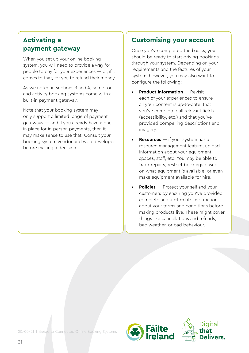#### **Activating a payment gateway**

When you set up your online booking system, you will need to provide a way for people to pay for your experiences — or, if it comes to that, for you to refund their money.

As we noted in sections 3 and 4, some tour and activity booking systems come with a built-in payment gateway.

Note that your booking system may only support a limited range of payment gateways — and if you already have a one in place for in-person payments, then it may make sense to use that. Consult your booking system vendor and web developer before making a decision.

#### **Customising your account**

Once you've completed the basics, you should be ready to start driving bookings through your system. Depending on your requirements and the features of your system, however, you may also want to configure the following:

- **• Product information** Revisit each of your experiences to ensure all your content is up-to-date, that you've completed all relevant fields (accessibility, etc.) and that you've provided compelling descriptions and imagery.
- **• Resources** if your system has a resource management feature, upload information about your equipment, spaces, staff, etc. You may be able to track repairs, restrict bookings based on what equipment is available, or even make equipment available for hire.
- **• Policies** Protect your self and your customers by ensuring you've provided complete and up-to-date information about your terms and conditions before making products live. These might cover things like cancellations and refunds, bad weather, or bad behaviour.

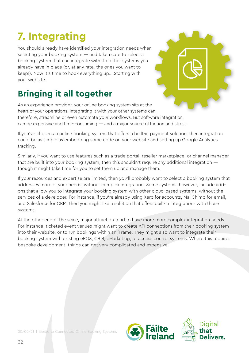## <span id="page-31-0"></span>**7. Integrating**

You should already have identified your integration needs when selecting your booking system — and taken care to select a booking system that can integrate with the other systems you already have in place (or, at any rate, the ones you want to keep!). Now it's time to hook everything up… Starting with your website.

## **Bringing it all together**

As an experience provider, your online booking system sits at the heart of your operations. Integrating it with your other systems can, therefore, streamline or even automate your workflows. But software integration can be expensive and time-consuming — and a major source of friction and stress.

If you've chosen an online booking system that offers a built-in payment solution, then integration could be as simple as embedding some code on your website and setting up Google Analytics tracking.

Similarly, if you want to use features such as a trade portal, reseller marketplace, or channel manager that are built into your booking system, then this shouldn't require any additional integration though it might take time for you to set them up and manage them.

If your resources and expertise are limited, then you'll probably want to select a booking system that addresses more of your needs, without complex integration. Some systems, however, include addons that allow you to integrate your booking system with other cloud-based systems, without the services of a developer. For instance, if you're already using Xero for accounts, MailChimp for email, and Salesforce for CRM, then you might like a solution that offers built-in integrations with those systems.

At the other end of the scale, major attraction tend to have more more complex integration needs. For instance, ticketed event venues might want to create API connections from their booking system into their website, or to run bookings within an iFrame. They might also want to integrate their booking system with existing ePOS, CRM, eMarketing, or access control systems. Where this requires bespoke development, things can get very complicated and expensive.

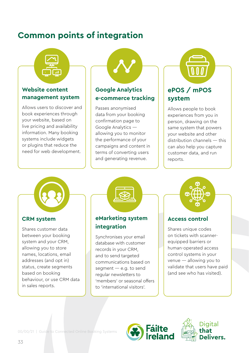### **Common points of integration**



#### **Website content management system**

Allows users to discover and book experiences through your website, based on live pricing and availability information. Many booking systems include widgets or plugins that reduce the need for web development.



#### **Google Analytics e-commerce tracking**

Passes anonymised data from your booking confirmation page to Google Analytics allowing you to monitor the performance of your campaigns and content in terms of converting users and generating revenue.



#### **ePOS / mPOS system**

Allows people to book experiences from you in person, drawing on the same system that powers your website and other distribution channels — this can also help you capture customer data, and run reports.

#### **CRM system**

Shares customer data between your booking system and your CRM, allowing you to store names, locations, email addresses (and opt in) status, create segments based on booking behaviour, or use CRM data in sales reports.



#### **eMarketing system integration**

Synchronises your email database with customer records in your CRM, and to send targeted communications based on segment — e.g. to send regular newsletters to 'members' or seasonal offers to 'international visitors'.



#### **Access control**

Shares unique codes on tickets with scannerequipped barriers or human-operated access control systems in your venue — allowing you to validate that users have paid (and see who has visited).



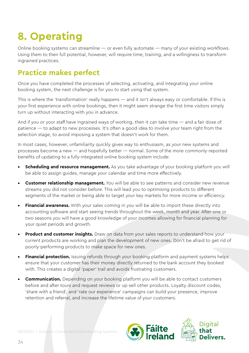## <span id="page-33-0"></span>**8. Operating**

Online booking systems can streamline — or even fully automate — many of your existing workflows. Using them to their full potential, however, will require time, training, and a willingness to transform ingrained practices.

### **Practice makes perfect**

Once you have completed the processes of selecting, activating, and integrating your online booking system, the next challenge is for you to start using that system.

This is where the 'transformation' really happens — and it isn't always easy or comfortable. If this is your first experience with online bookings, then it might seem strange the first time visitors simply turn up without interacting with you in advance.

And if you or your staff have ingrained ways of working, then it can take time — and a fair dose of patience — to adapt to new processes. It's often a good idea to involve your team right from the selection stage, to avoid imposing a system that doesn't work for them.

In most cases, however, unfamiliarity quickly gives way to enthusiasm, as your new systems and processes become a new — and hopefully better — normal. Some of the more commonly-reported benefits of updating to a fully-integrated online booking system include:

- **Scheduling and resource management.** As you take advantage of your booking platform you will be able to assign guides, manage your calendar and time more effectively.
- **• Customer relationship management.** You will be able to see patterns and consider new revenue streams you did not consider before. This will lead you to optimising products to different segments of the market or being able to target your key markets for more income or efficiency.
- **• Financial awareness.** With your sales coming in you will be able to import these directly into accounting software and start seeing trends throughout the week, month and year. After one or two seasons you will have a good knowledge of your incomes allowing for financial planning for your quiet periods and growth.
- **• Product and customer insights.** Draw on data from your sales reports to understand how your current products are working and plan the development of new ones. Don't be afraid to get rid of poorly-performing products to make space for new ones.
- **• Financial protection.** Issuing refunds through your booking platform and payment systems helps ensure that your customer has their money directly returned to the bank account they booked with. This creates a digital 'paper' trail and avoids frustrating customers.
- **Communication.** Depending on your booking platform you will be able to contact customers before and after tours and request reviews or up-sell other products. Loyalty discount codes, 'share with a friend', and 'rate our experience' campaigns can build your presence, improve retention and referral, and increase the lifetime value of your customers.